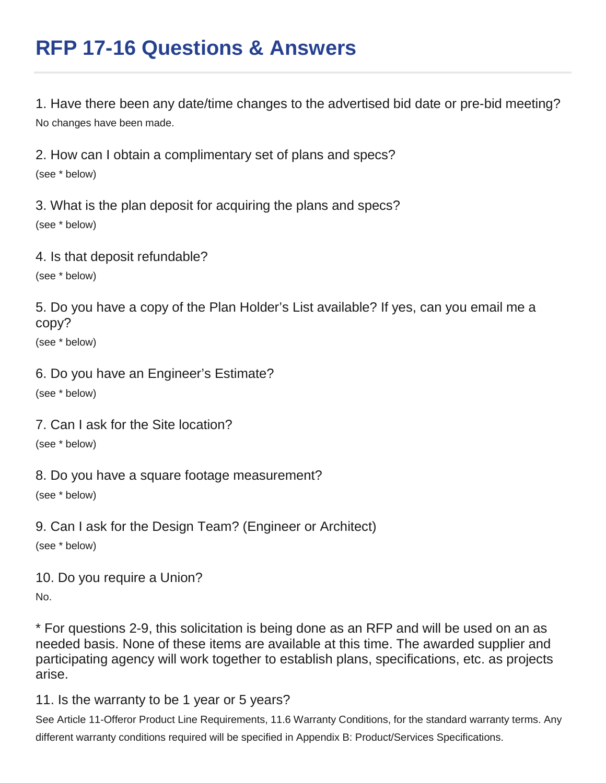# **RFP 17-16 Questions & Answers**

1. Have there been any date/time changes to the advertised bid date or pre-bid meeting? No changes have been made.

2. How can I obtain a complimentary set of plans and specs? (see \* below)

3. What is the plan deposit for acquiring the plans and specs? (see \* below)

4. Is that deposit refundable?

(see \* below)

5. Do you have a copy of the Plan Holder's List available? If yes, can you email me a copy?

(see \* below)

6. Do you have an Engineer's Estimate? (see \* below)

7. Can I ask for the Site location?

(see \* below)

8. Do you have a square footage measurement? (see \* below)

9. Can I ask for the Design Team? (Engineer or Architect) (see \* below)

10. Do you require a Union? No.

\* For questions 2-9, this solicitation is being done as an RFP and will be used on an as needed basis. None of these items are available at this time. The awarded supplier and participating agency will work together to establish plans, specifications, etc. as projects arise.

11. Is the warranty to be 1 year or 5 years?

See Article 11-Offeror Product Line Requirements, 11.6 Warranty Conditions, for the standard warranty terms. Any different warranty conditions required will be specified in Appendix B: Product/Services Specifications.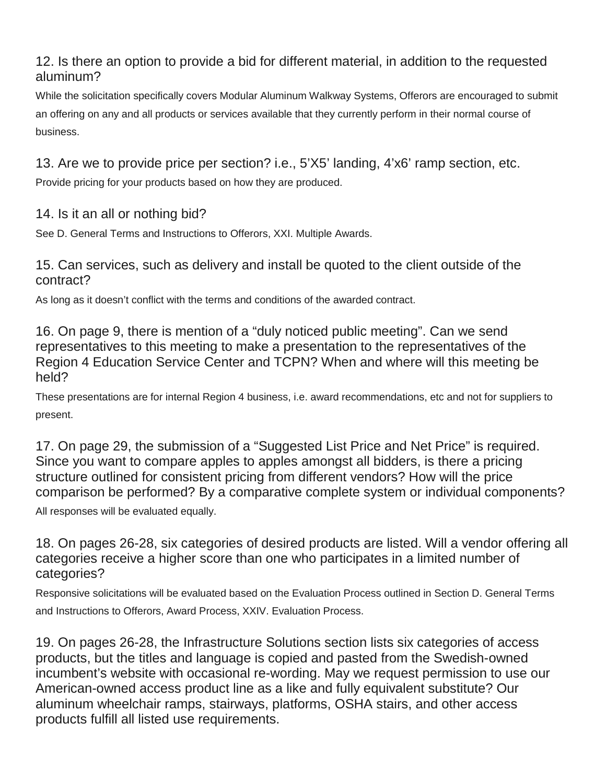## 12. Is there an option to provide a bid for different material, in addition to the requested aluminum?

While the solicitation specifically covers Modular Aluminum Walkway Systems, Offerors are encouraged to submit an offering on any and all products or services available that they currently perform in their normal course of business.

13. Are we to provide price per section? i.e., 5'X5' landing, 4'x6' ramp section, etc.

Provide pricing for your products based on how they are produced.

14. Is it an all or nothing bid?

See D. General Terms and Instructions to Offerors, XXI. Multiple Awards.

15. Can services, such as delivery and install be quoted to the client outside of the contract?

As long as it doesn't conflict with the terms and conditions of the awarded contract.

16. On page 9, there is mention of a "duly noticed public meeting". Can we send representatives to this meeting to make a presentation to the representatives of the Region 4 Education Service Center and TCPN? When and where will this meeting be held?

These presentations are for internal Region 4 business, i.e. award recommendations, etc and not for suppliers to present.

17. On page 29, the submission of a "Suggested List Price and Net Price" is required. Since you want to compare apples to apples amongst all bidders, is there a pricing structure outlined for consistent pricing from different vendors? How will the price comparison be performed? By a comparative complete system or individual components?

All responses will be evaluated equally.

18. On pages 26-28, six categories of desired products are listed. Will a vendor offering all categories receive a higher score than one who participates in a limited number of categories?

Responsive solicitations will be evaluated based on the Evaluation Process outlined in Section D. General Terms and Instructions to Offerors, Award Process, XXIV. Evaluation Process.

19. On pages 26-28, the Infrastructure Solutions section lists six categories of access products, but the titles and language is copied and pasted from the Swedish-owned incumbent's website with occasional re-wording. May we request permission to use our American-owned access product line as a like and fully equivalent substitute? Our aluminum wheelchair ramps, stairways, platforms, OSHA stairs, and other access products fulfill all listed use requirements.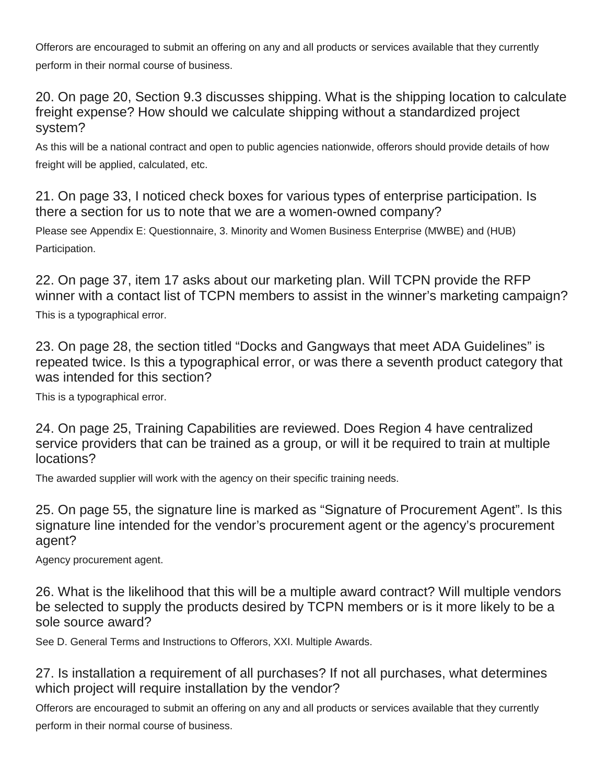Offerors are encouraged to submit an offering on any and all products or services available that they currently perform in their normal course of business.

20. On page 20, Section 9.3 discusses shipping. What is the shipping location to calculate freight expense? How should we calculate shipping without a standardized project system?

As this will be a national contract and open to public agencies nationwide, offerors should provide details of how freight will be applied, calculated, etc.

21. On page 33, I noticed check boxes for various types of enterprise participation. Is there a section for us to note that we are a women-owned company?

Please see Appendix E: Questionnaire, 3. Minority and Women Business Enterprise (MWBE) and (HUB) Participation.

22. On page 37, item 17 asks about our marketing plan. Will TCPN provide the RFP winner with a contact list of TCPN members to assist in the winner's marketing campaign? This is a typographical error.

23. On page 28, the section titled "Docks and Gangways that meet ADA Guidelines" is repeated twice. Is this a typographical error, or was there a seventh product category that was intended for this section?

This is a typographical error.

24. On page 25, Training Capabilities are reviewed. Does Region 4 have centralized service providers that can be trained as a group, or will it be required to train at multiple locations?

The awarded supplier will work with the agency on their specific training needs.

25. On page 55, the signature line is marked as "Signature of Procurement Agent". Is this signature line intended for the vendor's procurement agent or the agency's procurement agent?

Agency procurement agent.

26. What is the likelihood that this will be a multiple award contract? Will multiple vendors be selected to supply the products desired by TCPN members or is it more likely to be a sole source award?

See D. General Terms and Instructions to Offerors, XXI. Multiple Awards.

27. Is installation a requirement of all purchases? If not all purchases, what determines which project will require installation by the vendor?

Offerors are encouraged to submit an offering on any and all products or services available that they currently perform in their normal course of business.